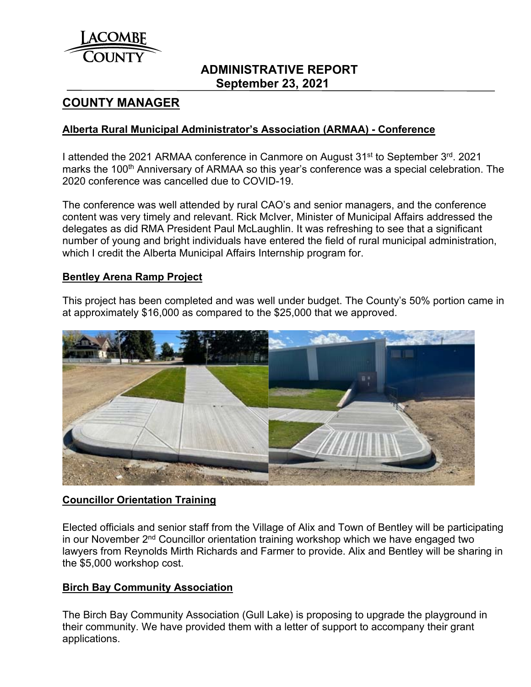

# **ADMINISTRATIVE REPORT September 23, 2021**

# **COUNTY MANAGER**

## **Alberta Rural Municipal Administrator's Association (ARMAA) - Conference**

I attended the 2021 ARMAA conference in Canmore on August 31<sup>st</sup> to September 3<sup>rd</sup>. 2021 marks the 100<sup>th</sup> Anniversary of ARMAA so this year's conference was a special celebration. The 2020 conference was cancelled due to COVID-19.

The conference was well attended by rural CAO's and senior managers, and the conference content was very timely and relevant. Rick McIver, Minister of Municipal Affairs addressed the delegates as did RMA President Paul McLaughlin. It was refreshing to see that a significant number of young and bright individuals have entered the field of rural municipal administration, which I credit the Alberta Municipal Affairs Internship program for.

### **Bentley Arena Ramp Project**

This project has been completed and was well under budget. The County's 50% portion came in at approximately \$16,000 as compared to the \$25,000 that we approved.



## **Councillor Orientation Training**

Elected officials and senior staff from the Village of Alix and Town of Bentley will be participating in our November 2<sup>nd</sup> Councillor orientation training workshop which we have engaged two lawyers from Reynolds Mirth Richards and Farmer to provide. Alix and Bentley will be sharing in the \$5,000 workshop cost.

### **Birch Bay Community Association**

The Birch Bay Community Association (Gull Lake) is proposing to upgrade the playground in their community. We have provided them with a letter of support to accompany their grant applications.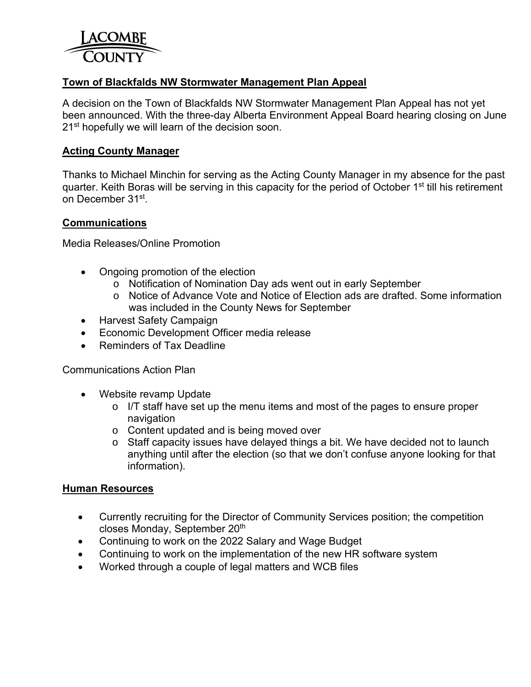

## **Town of Blackfalds NW Stormwater Management Plan Appeal**

A decision on the Town of Blackfalds NW Stormwater Management Plan Appeal has not yet been announced. With the three-day Alberta Environment Appeal Board hearing closing on June 21<sup>st</sup> hopefully we will learn of the decision soon.

### **Acting County Manager**

Thanks to Michael Minchin for serving as the Acting County Manager in my absence for the past quarter. Keith Boras will be serving in this capacity for the period of October 1<sup>st</sup> till his retirement on December 31st.

### **Communications**

Media Releases/Online Promotion

- Ongoing promotion of the election
	- o Notification of Nomination Day ads went out in early September
	- o Notice of Advance Vote and Notice of Election ads are drafted. Some information was included in the County News for September
- Harvest Safety Campaign
- Economic Development Officer media release
- Reminders of Tax Deadline

Communications Action Plan

- Website revamp Update
	- o I/T staff have set up the menu items and most of the pages to ensure proper navigation
	- o Content updated and is being moved over
	- o Staff capacity issues have delayed things a bit. We have decided not to launch anything until after the election (so that we don't confuse anyone looking for that information).

#### **Human Resources**

- Currently recruiting for the Director of Community Services position; the competition closes Monday, September 20<sup>th</sup>
- Continuing to work on the 2022 Salary and Wage Budget
- Continuing to work on the implementation of the new HR software system
- Worked through a couple of legal matters and WCB files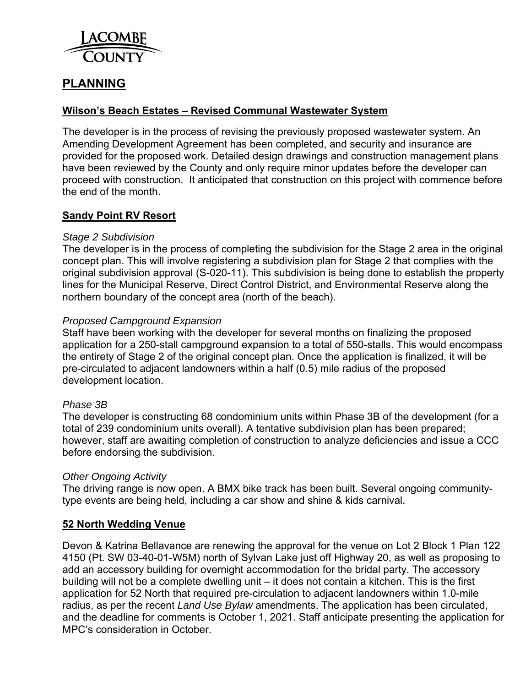

# **PLANNING**

## **Wilson's Beach Estates – Revised Communal Wastewater System**

The developer is in the process of revising the previously proposed wastewater system. An Amending Development Agreement has been completed, and security and insurance are provided for the proposed work. Detailed design drawings and construction management plans have been reviewed by the County and only require minor updates before the developer can proceed with construction. It anticipated that construction on this project with commence before the end of the month.

### **Sandy Point RV Resort**

### *Stage 2 Subdivision*

The developer is in the process of completing the subdivision for the Stage 2 area in the original concept plan. This will involve registering a subdivision plan for Stage 2 that complies with the original subdivision approval (S-020-11). This subdivision is being done to establish the property lines for the Municipal Reserve, Direct Control District, and Environmental Reserve along the northern boundary of the concept area (north of the beach).

### *Proposed Campground Expansion*

Staff have been working with the developer for several months on finalizing the proposed application for a 250-stall campground expansion to a total of 550-stalls. This would encompass the entirety of Stage 2 of the original concept plan. Once the application is finalized, it will be pre-circulated to adjacent landowners within a half (0.5) mile radius of the proposed development location.

### *Phase 3B*

The developer is constructing 68 condominium units within Phase 3B of the development (for a total of 239 condominium units overall). A tentative subdivision plan has been prepared; however, staff are awaiting completion of construction to analyze deficiencies and issue a CCC before endorsing the subdivision.

#### *Other Ongoing Activity*

The driving range is now open. A BMX bike track has been built. Several ongoing communitytype events are being held, including a car show and shine & kids carnival.

### **52 North Wedding Venue**

Devon & Katrina Bellavance are renewing the approval for the venue on Lot 2 Block 1 Plan 122 4150 (Pt. SW 03-40-01-W5M) north of Sylvan Lake just off Highway 20, as well as proposing to add an accessory building for overnight accommodation for the bridal party. The accessory building will not be a complete dwelling unit – it does not contain a kitchen. This is the first application for 52 North that required pre-circulation to adjacent landowners within 1.0-mile radius, as per the recent *Land Use Bylaw* amendments. The application has been circulated, and the deadline for comments is October 1, 2021. Staff anticipate presenting the application for MPC's consideration in October.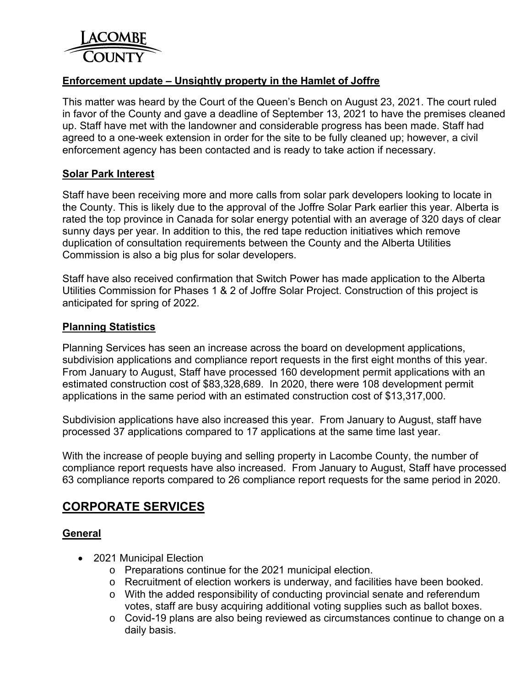

## **Enforcement update – Unsightly property in the Hamlet of Joffre**

This matter was heard by the Court of the Queen's Bench on August 23, 2021. The court ruled in favor of the County and gave a deadline of September 13, 2021 to have the premises cleaned up. Staff have met with the landowner and considerable progress has been made. Staff had agreed to a one-week extension in order for the site to be fully cleaned up; however, a civil enforcement agency has been contacted and is ready to take action if necessary.

### **Solar Park Interest**

Staff have been receiving more and more calls from solar park developers looking to locate in the County. This is likely due to the approval of the Joffre Solar Park earlier this year. Alberta is rated the top province in Canada for solar energy potential with an average of 320 days of clear sunny days per year. In addition to this, the red tape reduction initiatives which remove duplication of consultation requirements between the County and the Alberta Utilities Commission is also a big plus for solar developers.

Staff have also received confirmation that Switch Power has made application to the Alberta Utilities Commission for Phases 1 & 2 of Joffre Solar Project. Construction of this project is anticipated for spring of 2022.

### **Planning Statistics**

Planning Services has seen an increase across the board on development applications, subdivision applications and compliance report requests in the first eight months of this year. From January to August, Staff have processed 160 development permit applications with an estimated construction cost of \$83,328,689. In 2020, there were 108 development permit applications in the same period with an estimated construction cost of \$13,317,000.

Subdivision applications have also increased this year. From January to August, staff have processed 37 applications compared to 17 applications at the same time last year.

With the increase of people buying and selling property in Lacombe County, the number of compliance report requests have also increased. From January to August, Staff have processed 63 compliance reports compared to 26 compliance report requests for the same period in 2020.

# **CORPORATE SERVICES**

### **General**

- 2021 Municipal Election
	- o Preparations continue for the 2021 municipal election.
	- o Recruitment of election workers is underway, and facilities have been booked.
	- o With the added responsibility of conducting provincial senate and referendum votes, staff are busy acquiring additional voting supplies such as ballot boxes.
	- o Covid-19 plans are also being reviewed as circumstances continue to change on a daily basis.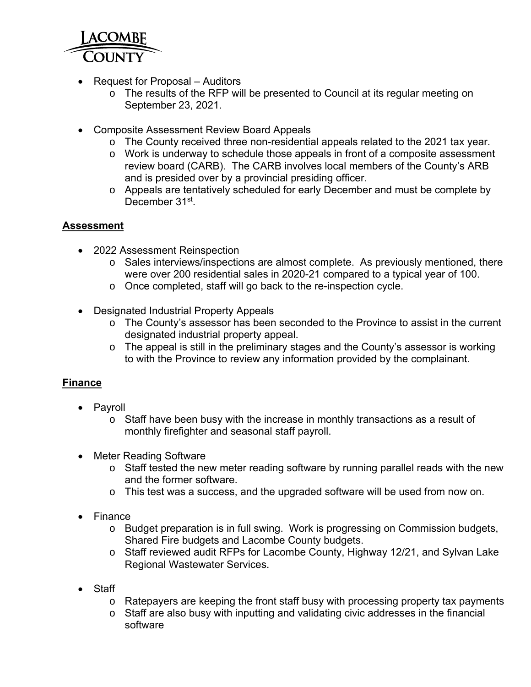

- Request for Proposal Auditors
	- o The results of the RFP will be presented to Council at its regular meeting on September 23, 2021.
- Composite Assessment Review Board Appeals
	- o The County received three non-residential appeals related to the 2021 tax year.
	- o Work is underway to schedule those appeals in front of a composite assessment review board (CARB). The CARB involves local members of the County's ARB and is presided over by a provincial presiding officer.
	- o Appeals are tentatively scheduled for early December and must be complete by December 31<sup>st</sup>.

## **Assessment**

- 2022 Assessment Reinspection
	- o Sales interviews/inspections are almost complete. As previously mentioned, there were over 200 residential sales in 2020-21 compared to a typical year of 100.
	- o Once completed, staff will go back to the re-inspection cycle.
- Designated Industrial Property Appeals
	- $\circ$  The County's assessor has been seconded to the Province to assist in the current designated industrial property appeal.
	- o The appeal is still in the preliminary stages and the County's assessor is working to with the Province to review any information provided by the complainant.

## **Finance**

- Payroll
	- o Staff have been busy with the increase in monthly transactions as a result of monthly firefighter and seasonal staff payroll.
- Meter Reading Software
	- o Staff tested the new meter reading software by running parallel reads with the new and the former software.
	- o This test was a success, and the upgraded software will be used from now on.
- Finance
	- o Budget preparation is in full swing. Work is progressing on Commission budgets, Shared Fire budgets and Lacombe County budgets.
	- o Staff reviewed audit RFPs for Lacombe County, Highway 12/21, and Sylvan Lake Regional Wastewater Services.
- Staff
	- o Ratepayers are keeping the front staff busy with processing property tax payments
	- o Staff are also busy with inputting and validating civic addresses in the financial software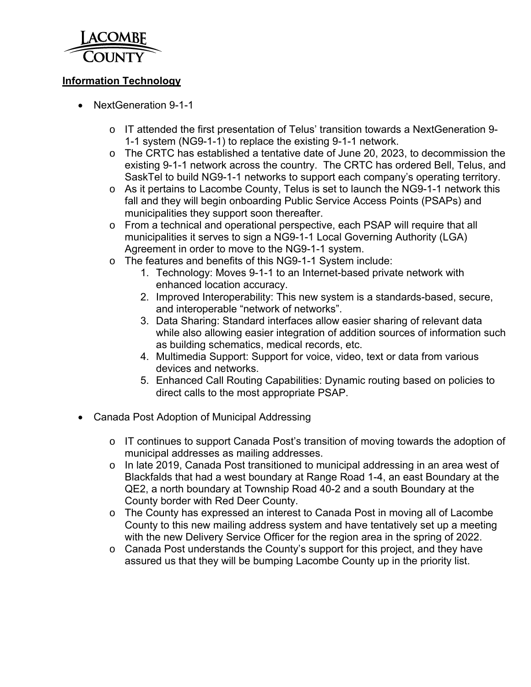

## **Information Technology**

- NextGeneration 9-1-1
	- o IT attended the first presentation of Telus' transition towards a NextGeneration 9- 1-1 system (NG9-1-1) to replace the existing 9-1-1 network.
	- o The CRTC has established a tentative date of June 20, 2023, to decommission the existing 9-1-1 network across the country. The CRTC has ordered Bell, Telus, and SaskTel to build NG9-1-1 networks to support each company's operating territory.
	- o As it pertains to Lacombe County, Telus is set to launch the NG9-1-1 network this fall and they will begin onboarding Public Service Access Points (PSAPs) and municipalities they support soon thereafter.
	- o From a technical and operational perspective, each PSAP will require that all municipalities it serves to sign a NG9-1-1 Local Governing Authority (LGA) Agreement in order to move to the NG9-1-1 system.
	- o The features and benefits of this NG9-1-1 System include:
		- 1. Technology: Moves 9-1-1 to an Internet-based private network with enhanced location accuracy.
		- 2. Improved Interoperability: This new system is a standards-based, secure, and interoperable "network of networks".
		- 3. Data Sharing: Standard interfaces allow easier sharing of relevant data while also allowing easier integration of addition sources of information such as building schematics, medical records, etc.
		- 4. Multimedia Support: Support for voice, video, text or data from various devices and networks.
		- 5. Enhanced Call Routing Capabilities: Dynamic routing based on policies to direct calls to the most appropriate PSAP.
- Canada Post Adoption of Municipal Addressing
	- o IT continues to support Canada Post's transition of moving towards the adoption of municipal addresses as mailing addresses.
	- o In late 2019, Canada Post transitioned to municipal addressing in an area west of Blackfalds that had a west boundary at Range Road 1-4, an east Boundary at the QE2, a north boundary at Township Road 40-2 and a south Boundary at the County border with Red Deer County.
	- o The County has expressed an interest to Canada Post in moving all of Lacombe County to this new mailing address system and have tentatively set up a meeting with the new Delivery Service Officer for the region area in the spring of 2022.
	- o Canada Post understands the County's support for this project, and they have assured us that they will be bumping Lacombe County up in the priority list.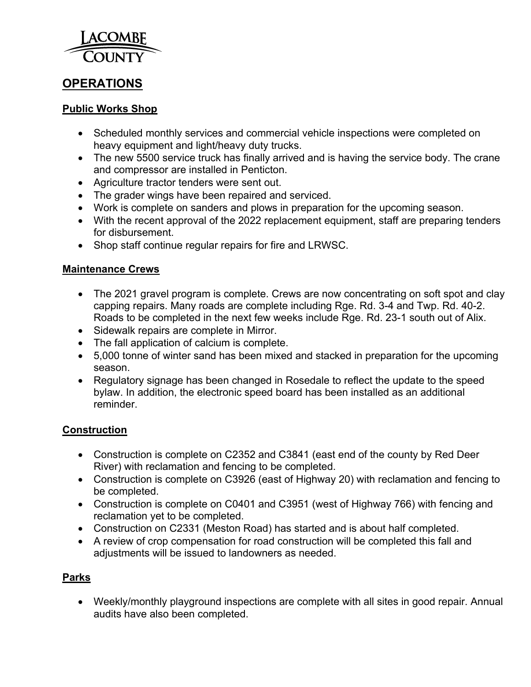

# **OPERATIONS**

## **Public Works Shop**

- Scheduled monthly services and commercial vehicle inspections were completed on heavy equipment and light/heavy duty trucks.
- The new 5500 service truck has finally arrived and is having the service body. The crane and compressor are installed in Penticton.
- Agriculture tractor tenders were sent out.
- The grader wings have been repaired and serviced.
- Work is complete on sanders and plows in preparation for the upcoming season.
- With the recent approval of the 2022 replacement equipment, staff are preparing tenders for disbursement.
- Shop staff continue regular repairs for fire and LRWSC.

## **Maintenance Crews**

- The 2021 gravel program is complete. Crews are now concentrating on soft spot and clay capping repairs. Many roads are complete including Rge. Rd. 3-4 and Twp. Rd. 40-2. Roads to be completed in the next few weeks include Rge. Rd. 23-1 south out of Alix.
- Sidewalk repairs are complete in Mirror.
- The fall application of calcium is complete.
- 5,000 tonne of winter sand has been mixed and stacked in preparation for the upcoming season.
- Regulatory signage has been changed in Rosedale to reflect the update to the speed bylaw. In addition, the electronic speed board has been installed as an additional reminder.

### **Construction**

- Construction is complete on C2352 and C3841 (east end of the county by Red Deer River) with reclamation and fencing to be completed.
- Construction is complete on C3926 (east of Highway 20) with reclamation and fencing to be completed.
- Construction is complete on C0401 and C3951 (west of Highway 766) with fencing and reclamation yet to be completed.
- Construction on C2331 (Meston Road) has started and is about half completed.
- A review of crop compensation for road construction will be completed this fall and adjustments will be issued to landowners as needed.

### **Parks**

 Weekly/monthly playground inspections are complete with all sites in good repair. Annual audits have also been completed.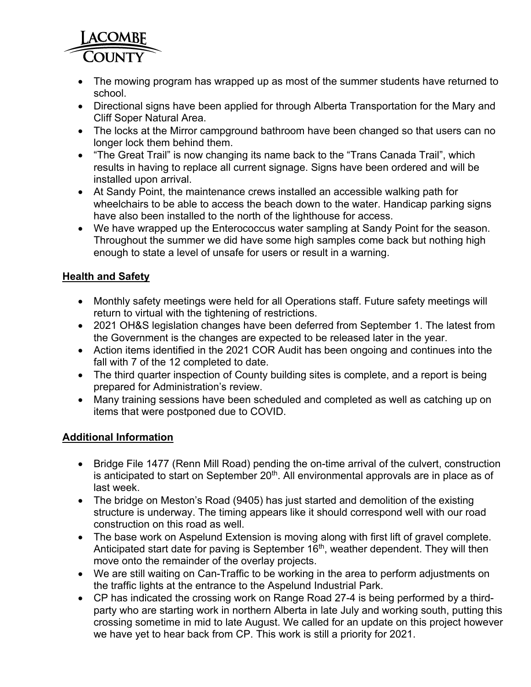

- The mowing program has wrapped up as most of the summer students have returned to school.
- Directional signs have been applied for through Alberta Transportation for the Mary and Cliff Soper Natural Area.
- The locks at the Mirror campground bathroom have been changed so that users can no longer lock them behind them.
- "The Great Trail" is now changing its name back to the "Trans Canada Trail", which results in having to replace all current signage. Signs have been ordered and will be installed upon arrival.
- At Sandy Point, the maintenance crews installed an accessible walking path for wheelchairs to be able to access the beach down to the water. Handicap parking signs have also been installed to the north of the lighthouse for access.
- We have wrapped up the Enterococcus water sampling at Sandy Point for the season. Throughout the summer we did have some high samples come back but nothing high enough to state a level of unsafe for users or result in a warning.

# **Health and Safety**

- Monthly safety meetings were held for all Operations staff. Future safety meetings will return to virtual with the tightening of restrictions.
- 2021 OH&S legislation changes have been deferred from September 1. The latest from the Government is the changes are expected to be released later in the year.
- Action items identified in the 2021 COR Audit has been ongoing and continues into the fall with 7 of the 12 completed to date.
- The third quarter inspection of County building sites is complete, and a report is being prepared for Administration's review.
- Many training sessions have been scheduled and completed as well as catching up on items that were postponed due to COVID.

## **Additional Information**

- Bridge File 1477 (Renn Mill Road) pending the on-time arrival of the culvert, construction is anticipated to start on September 20<sup>th</sup>. All environmental approvals are in place as of last week.
- The bridge on Meston's Road (9405) has just started and demolition of the existing structure is underway. The timing appears like it should correspond well with our road construction on this road as well.
- The base work on Aspelund Extension is moving along with first lift of gravel complete. Anticipated start date for paving is September 16<sup>th</sup>, weather dependent. They will then move onto the remainder of the overlay projects.
- We are still waiting on Can-Traffic to be working in the area to perform adjustments on the traffic lights at the entrance to the Aspelund Industrial Park.
- CP has indicated the crossing work on Range Road 27-4 is being performed by a thirdparty who are starting work in northern Alberta in late July and working south, putting this crossing sometime in mid to late August. We called for an update on this project however we have yet to hear back from CP. This work is still a priority for 2021.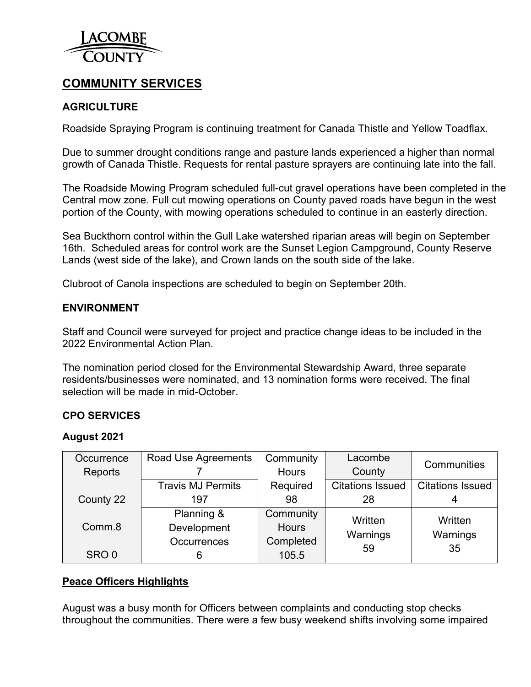

# **COMMUNITY SERVICES**

## **AGRICULTURE**

Roadside Spraying Program is continuing treatment for Canada Thistle and Yellow Toadflax.

Due to summer drought conditions range and pasture lands experienced a higher than normal growth of Canada Thistle. Requests for rental pasture sprayers are continuing late into the fall.

The Roadside Mowing Program scheduled full-cut gravel operations have been completed in the Central mow zone. Full cut mowing operations on County paved roads have begun in the west portion of the County, with mowing operations scheduled to continue in an easterly direction.

Sea Buckthorn control within the Gull Lake watershed riparian areas will begin on September 16th. Scheduled areas for control work are the Sunset Legion Campground, County Reserve Lands (west side of the lake), and Crown lands on the south side of the lake.

Clubroot of Canola inspections are scheduled to begin on September 20th.

### **ENVIRONMENT**

Staff and Council were surveyed for project and practice change ideas to be included in the 2022 Environmental Action Plan.

The nomination period closed for the Environmental Stewardship Award, three separate residents/businesses were nominated, and 13 nomination forms were received. The final selection will be made in mid-October.

### **CPO SERVICES**

#### **August 2021**

| Occurrence       | Road Use Agreements      | Community    | Lacombe                 | Communities             |  |  |
|------------------|--------------------------|--------------|-------------------------|-------------------------|--|--|
| Reports          |                          | <b>Hours</b> | County                  |                         |  |  |
|                  | <b>Travis MJ Permits</b> | Required     | <b>Citations Issued</b> | <b>Citations Issued</b> |  |  |
| County 22        | 197                      | 98           | 28                      |                         |  |  |
|                  | Planning &               | Community    | Written                 | Written                 |  |  |
| Comm.8           | Development              | <b>Hours</b> | Warnings                | Warnings                |  |  |
|                  | <b>Occurrences</b>       | Completed    | 59                      | 35                      |  |  |
| SRO <sub>0</sub> |                          | 105.5        |                         |                         |  |  |

### **Peace Officers Highlights**

August was a busy month for Officers between complaints and conducting stop checks throughout the communities. There were a few busy weekend shifts involving some impaired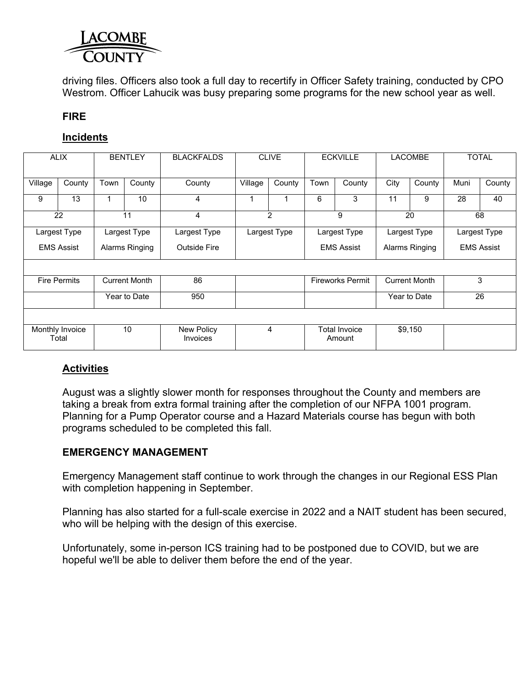

driving files. Officers also took a full day to recertify in Officer Safety training, conducted by CPO Westrom. Officer Lahucik was busy preparing some programs for the new school year as well.

### **FIRE**

## **Incidents**

| <b>ALIX</b>         |                          | <b>BENTLEY</b>             |                | <b>BLACKFALDS</b>             | <b>CLIVE</b>      |                         | <b>ECKVILLE</b> |                                | <b>LACOMBE</b> |                   | <b>TOTAL</b> |        |  |
|---------------------|--------------------------|----------------------------|----------------|-------------------------------|-------------------|-------------------------|-----------------|--------------------------------|----------------|-------------------|--------------|--------|--|
| Village             | County                   | Town                       | County         | County                        | Village           | County                  | Town            | County                         | City           | County            | Muni         | County |  |
| 9                   | 13                       |                            | 10             | 4                             | 1                 |                         | 6               | 3                              | 11             | 9                 | 28           | 40     |  |
| 22                  |                          |                            | 11             | 4                             |                   | $\overline{2}$          |                 | 9                              |                | 20                |              | 68     |  |
| Largest Type        |                          | Largest Type               | Largest Type   | Largest Type<br>Largest Type  |                   | Largest Type            |                 | Largest Type                   |                |                   |              |        |  |
|                     | <b>EMS Assist</b>        |                            | Alarms Ringing | <b>Outside Fire</b>           | <b>EMS Assist</b> |                         |                 | Alarms Ringing                 |                | <b>EMS Assist</b> |              |        |  |
|                     |                          |                            |                |                               |                   |                         |                 |                                |                |                   |              |        |  |
| <b>Fire Permits</b> |                          | 86<br><b>Current Month</b> |                |                               |                   | <b>Fireworks Permit</b> |                 | <b>Current Month</b>           |                | 3                 |              |        |  |
| Year to Date        |                          | 950                        |                |                               |                   |                         | Year to Date    |                                | 26             |                   |              |        |  |
|                     |                          |                            |                |                               |                   |                         |                 |                                |                |                   |              |        |  |
|                     | Monthly Invoice<br>Total |                            | 10             | New Policy<br><b>Invoices</b> |                   | 4                       |                 | <b>Total Invoice</b><br>Amount |                | \$9,150           |              |        |  |

## **Activities**

August was a slightly slower month for responses throughout the County and members are taking a break from extra formal training after the completion of our NFPA 1001 program. Planning for a Pump Operator course and a Hazard Materials course has begun with both programs scheduled to be completed this fall.

### **EMERGENCY MANAGEMENT**

Emergency Management staff continue to work through the changes in our Regional ESS Plan with completion happening in September.

Planning has also started for a full-scale exercise in 2022 and a NAIT student has been secured, who will be helping with the design of this exercise.

Unfortunately, some in-person ICS training had to be postponed due to COVID, but we are hopeful we'll be able to deliver them before the end of the year.